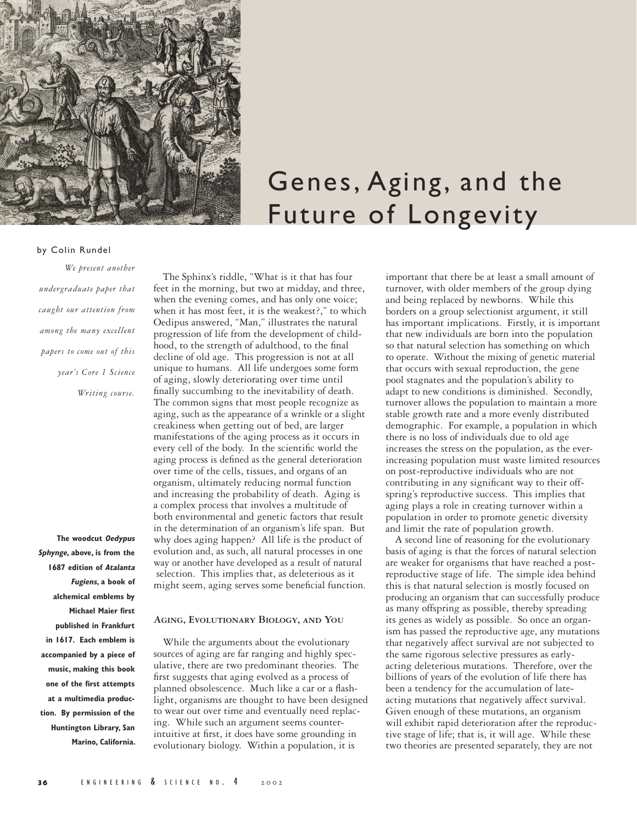

# Genes, Aging, and the Future of Longevity

# by Colin Rundel

*We present another undergraduate paper that caught our attention from among the many excellent papers to come out of this year's Core 1 Science Writing course.* 

**The woodcut Oedypus Sphynge, above, is from the 1687 edition of Atalanta Fugiens, a book of alchemical emblems by Michael Maier first published in Frankfurt in 1617. Each emblem is accompanied by a piece of music, making this book one of the first attempts at a multimedia production. By permission of the Huntington Library, San Marino, California.**

The Sphinx's riddle, "What is it that has four feet in the morning, but two at midday, and three, when the evening comes, and has only one voice; when it has most feet, it is the weakest?," to which Oedipus answered, "Man," illustrates the natural progression of life from the development of childhood, to the strength of adulthood, to the final decline of old age. This progression is not at all unique to humans. All life undergoes some form of aging, slowly deteriorating over time until finally succumbing to the inevitability of death. The common signs that most people recognize as aging, such as the appearance of a wrinkle or a slight creakiness when getting out of bed, are larger manifestations of the aging process as it occurs in every cell of the body. In the scientific world the aging process is defined as the general deterioration over time of the cells, tissues, and organs of an organism, ultimately reducing normal function and increasing the probability of death. Aging is a complex process that involves a multitude of both environmental and genetic factors that result in the determination of an organism's life span. But why does aging happen? All life is the product of evolution and, as such, all natural processes in one way or another have developed as a result of natural selection. This implies that, as deleterious as it might seem, aging serves some beneficial function.

# **Aging, Evolutionary Biology, and You**

While the arguments about the evolutionary sources of aging are far ranging and highly speculative, there are two predominant theories. The first suggests that aging evolved as a process of planned obsolescence. Much like a car or a flashlight, organisms are thought to have been designed to wear out over time and eventually need replacing. While such an argument seems counterintuitive at first, it does have some grounding in evolutionary biology. Within a population, it is

important that there be at least a small amount of turnover, with older members of the group dying and being replaced by newborns. While this borders on a group selectionist argument, it still has important implications. Firstly, it is important that new individuals are born into the population so that natural selection has something on which to operate. Without the mixing of genetic material that occurs with sexual reproduction, the gene pool stagnates and the population's ability to adapt to new conditions is diminished. Secondly, turnover allows the population to maintain a more stable growth rate and a more evenly distributed demographic. For example, a population in which there is no loss of individuals due to old age increases the stress on the population, as the everincreasing population must waste limited resources on post-reproductive individuals who are not contributing in any significant way to their offspring's reproductive success. This implies that aging plays a role in creating turnover within a population in order to promote genetic diversity and limit the rate of population growth.

A second line of reasoning for the evolutionary basis of aging is that the forces of natural selection are weaker for organisms that have reached a postreproductive stage of life. The simple idea behind this is that natural selection is mostly focused on producing an organism that can successfully produce as many offspring as possible, thereby spreading its genes as widely as possible. So once an organism has passed the reproductive age, any mutations that negatively affect survival are not subjected to the same rigorous selective pressures as earlyacting deleterious mutations. Therefore, over the billions of years of the evolution of life there has been a tendency for the accumulation of lateacting mutations that negatively affect survival. Given enough of these mutations, an organism will exhibit rapid deterioration after the reproductive stage of life; that is, it will age. While these two theories are presented separately, they are not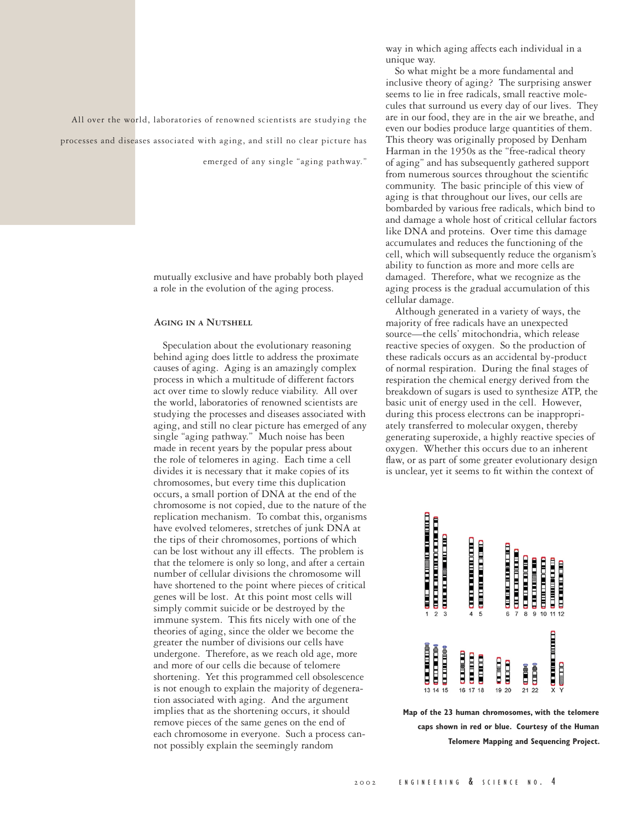All over the world, laboratories of renowned scientists are studying the processes and diseases associated with aging, and still no clear picture has

emerged of any single "aging pathway."

mutually exclusive and have probably both played a role in the evolution of the aging process.

# **Aging in a Nutshell**

Speculation about the evolutionary reasoning behind aging does little to address the proximate causes of aging. Aging is an amazingly complex process in which a multitude of different factors act over time to slowly reduce viability. All over the world, laboratories of renowned scientists are studying the processes and diseases associated with aging, and still no clear picture has emerged of any single "aging pathway." Much noise has been made in recent years by the popular press about the role of telomeres in aging. Each time a cell divides it is necessary that it make copies of its chromosomes, but every time this duplication occurs, a small portion of DNA at the end of the chromosome is not copied, due to the nature of the replication mechanism. To combat this, organisms have evolved telomeres, stretches of junk DNA at the tips of their chromosomes, portions of which can be lost without any ill effects. The problem is that the telomere is only so long, and after a certain number of cellular divisions the chromosome will have shortened to the point where pieces of critical genes will be lost. At this point most cells will simply commit suicide or be destroyed by the immune system. This fits nicely with one of the theories of aging, since the older we become the greater the number of divisions our cells have undergone. Therefore, as we reach old age, more and more of our cells die because of telomere shortening. Yet this programmed cell obsolescence is not enough to explain the majority of degeneration associated with aging. And the argument implies that as the shortening occurs, it should remove pieces of the same genes on the end of each chromosome in everyone. Such a process cannot possibly explain the seemingly random

way in which aging affects each individual in a unique way.

So what might be a more fundamental and inclusive theory of aging? The surprising answer seems to lie in free radicals, small reactive molecules that surround us every day of our lives. They are in our food, they are in the air we breathe, and even our bodies produce large quantities of them. This theory was originally proposed by Denham Harman in the 1950s as the "free-radical theory of aging" and has subsequently gathered support from numerous sources throughout the scientific community. The basic principle of this view of aging is that throughout our lives, our cells are bombarded by various free radicals, which bind to and damage a whole host of critical cellular factors like DNA and proteins. Over time this damage accumulates and reduces the functioning of the cell, which will subsequently reduce the organism's ability to function as more and more cells are damaged. Therefore, what we recognize as the aging process is the gradual accumulation of this cellular damage.

Although generated in a variety of ways, the majority of free radicals have an unexpected source—the cells' mitochondria, which release reactive species of oxygen. So the production of these radicals occurs as an accidental by-product of normal respiration. During the final stages of respiration the chemical energy derived from the breakdown of sugars is used to synthesize ATP, the basic unit of energy used in the cell. However, during this process electrons can be inappropriately transferred to molecular oxygen, thereby generating superoxide, a highly reactive species of oxygen. Whether this occurs due to an inherent flaw, or as part of some greater evolutionary design is unclear, yet it seems to fit within the context of



**Map of the 23 human chromosomes, with the telomere caps shown in red or blue. Courtesy of the Human Telomere Mapping and Sequencing Project.**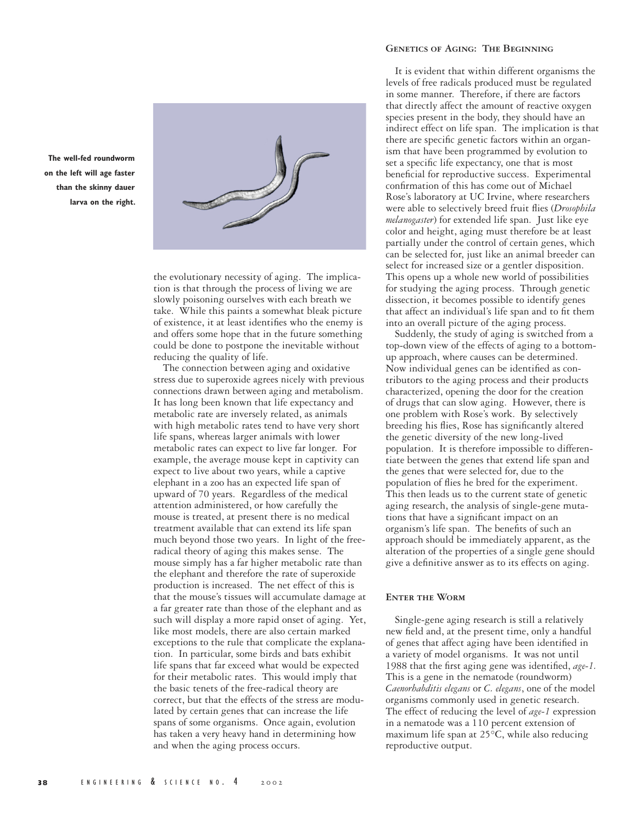

**on the left will age faster than the skinny dauer larva on the right.**

**The well-fed roundworm** 

the evolutionary necessity of aging. The implication is that through the process of living we are slowly poisoning ourselves with each breath we take. While this paints a somewhat bleak picture of existence, it at least identifies who the enemy is and offers some hope that in the future something could be done to postpone the inevitable without reducing the quality of life.

The connection between aging and oxidative stress due to superoxide agrees nicely with previous connections drawn between aging and metabolism. It has long been known that life expectancy and metabolic rate are inversely related, as animals with high metabolic rates tend to have very short life spans, whereas larger animals with lower metabolic rates can expect to live far longer. For example, the average mouse kept in captivity can expect to live about two years, while a captive elephant in a zoo has an expected life span of upward of 70 years. Regardless of the medical attention administered, or how carefully the mouse is treated, at present there is no medical treatment available that can extend its life span much beyond those two years. In light of the freeradical theory of aging this makes sense. The mouse simply has a far higher metabolic rate than the elephant and therefore the rate of superoxide production is increased. The net effect of this is that the mouse's tissues will accumulate damage at a far greater rate than those of the elephant and as such will display a more rapid onset of aging. Yet, like most models, there are also certain marked exceptions to the rule that complicate the explanation. In particular, some birds and bats exhibit life spans that far exceed what would be expected for their metabolic rates. This would imply that the basic tenets of the free-radical theory are correct, but that the effects of the stress are modulated by certain genes that can increase the life spans of some organisms. Once again, evolution has taken a very heavy hand in determining how and when the aging process occurs.

### **Genetics of Aging: The Beginning**

It is evident that within different organisms the levels of free radicals produced must be regulated in some manner. Therefore, if there are factors that directly affect the amount of reactive oxygen species present in the body, they should have an indirect effect on life span. The implication is that there are specific genetic factors within an organism that have been programmed by evolution to set a specific life expectancy, one that is most beneficial for reproductive success. Experimental confirmation of this has come out of Michael Rose's laboratory at UC Irvine, where researchers were able to selectively breed fruit flies (*Drosophila melanogaster*) for extended life span. Just like eye color and height, aging must therefore be at least partially under the control of certain genes, which can be selected for, just like an animal breeder can select for increased size or a gentler disposition. This opens up a whole new world of possibilities for studying the aging process. Through genetic dissection, it becomes possible to identify genes that affect an individual's life span and to fit them into an overall picture of the aging process.

Suddenly, the study of aging is switched from a top-down view of the effects of aging to a bottomup approach, where causes can be determined. Now individual genes can be identified as contributors to the aging process and their products characterized, opening the door for the creation of drugs that can slow aging. However, there is one problem with Rose's work. By selectively breeding his flies, Rose has significantly altered the genetic diversity of the new long-lived population. It is therefore impossible to differentiate between the genes that extend life span and the genes that were selected for, due to the population of flies he bred for the experiment. This then leads us to the current state of genetic aging research, the analysis of single-gene mutations that have a significant impact on an organism's life span. The benefits of such an approach should be immediately apparent, as the alteration of the properties of a single gene should give a definitive answer as to its effects on aging.

# **Enter the Worm**

Single-gene aging research is still a relatively new field and, at the present time, only a handful of genes that affect aging have been identified in a variety of model organisms. It was not until 1988 that the first aging gene was identified, *age-1.*  This is a gene in the nematode (roundworm) *Caenorhabditis elegans* or *C. elegans*, one of the model organisms commonly used in genetic research. The effect of reducing the level of *age-1* expression in a nematode was a 110 percent extension of maximum life span at 25°C, while also reducing reproductive output.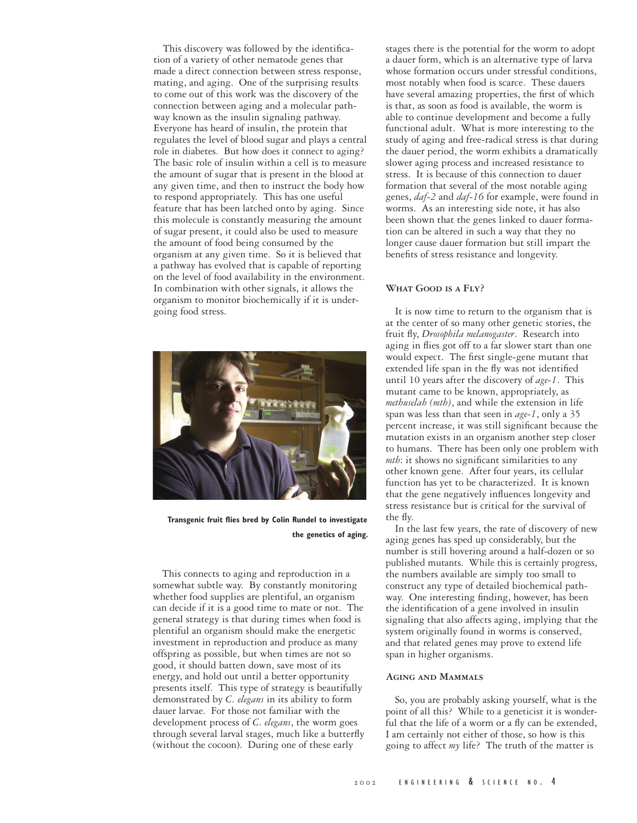This discovery was followed by the identification of a variety of other nematode genes that made a direct connection between stress response, mating, and aging. One of the surprising results to come out of this work was the discovery of the connection between aging and a molecular pathway known as the insulin signaling pathway. Everyone has heard of insulin, the protein that regulates the level of blood sugar and plays a central role in diabetes. But how does it connect to aging? The basic role of insulin within a cell is to measure the amount of sugar that is present in the blood at any given time, and then to instruct the body how to respond appropriately. This has one useful feature that has been latched onto by aging. Since this molecule is constantly measuring the amount of sugar present, it could also be used to measure the amount of food being consumed by the organism at any given time. So it is believed that a pathway has evolved that is capable of reporting on the level of food availability in the environment. In combination with other signals, it allows the organism to monitor biochemically if it is undergoing food stress.



**Transgenic fruit flies bred by Colin Rundel to investigate the genetics of aging.**

This connects to aging and reproduction in a somewhat subtle way. By constantly monitoring whether food supplies are plentiful, an organism can decide if it is a good time to mate or not. The general strategy is that during times when food is plentiful an organism should make the energetic investment in reproduction and produce as many offspring as possible, but when times are not so good, it should batten down, save most of its energy, and hold out until a better opportunity presents itself. This type of strategy is beautifully demonstrated by *C. elegans* in its ability to form dauer larvae. For those not familiar with the development process of *C. elegans*, the worm goes through several larval stages, much like a butterfly (without the cocoon). During one of these early

stages there is the potential for the worm to adopt a dauer form, which is an alternative type of larva whose formation occurs under stressful conditions, most notably when food is scarce. These dauers have several amazing properties, the first of which is that, as soon as food is available, the worm is able to continue development and become a fully functional adult. What is more interesting to the study of aging and free-radical stress is that during the dauer period, the worm exhibits a dramatically slower aging process and increased resistance to stress. It is because of this connection to dauer formation that several of the most notable aging genes, *daf-2* and *daf-16* for example, were found in worms. As an interesting side note, it has also been shown that the genes linked to dauer formation can be altered in such a way that they no longer cause dauer formation but still impart the benefits of stress resistance and longevity.

# **What Good is a Fly?**

It is now time to return to the organism that is at the center of so many other genetic stories, the fruit fly, *Drosophila melanogaster*. Research into aging in flies got off to a far slower start than one would expect. The first single-gene mutant that extended life span in the fly was not identified until 10 years after the discovery of *age-1*. This mutant came to be known, appropriately, as *methuselah (mth)*, and while the extension in life span was less than that seen in *age-1*, only a 35 percent increase, it was still significant because the mutation exists in an organism another step closer to humans. There has been only one problem with *mth*: it shows no significant similarities to any other known gene. After four years, its cellular function has yet to be characterized. It is known that the gene negatively influences longevity and stress resistance but is critical for the survival of the fly.

In the last few years, the rate of discovery of new aging genes has sped up considerably, but the number is still hovering around a half-dozen or so published mutants. While this is certainly progress, the numbers available are simply too small to construct any type of detailed biochemical pathway. One interesting finding, however, has been the identification of a gene involved in insulin signaling that also affects aging, implying that the system originally found in worms is conserved, and that related genes may prove to extend life span in higher organisms.

#### **Aging and Mammals**

So, you are probably asking yourself, what is the point of all this? While to a geneticist it is wonderful that the life of a worm or a fly can be extended, I am certainly not either of those, so how is this going to affect *my* life? The truth of the matter is